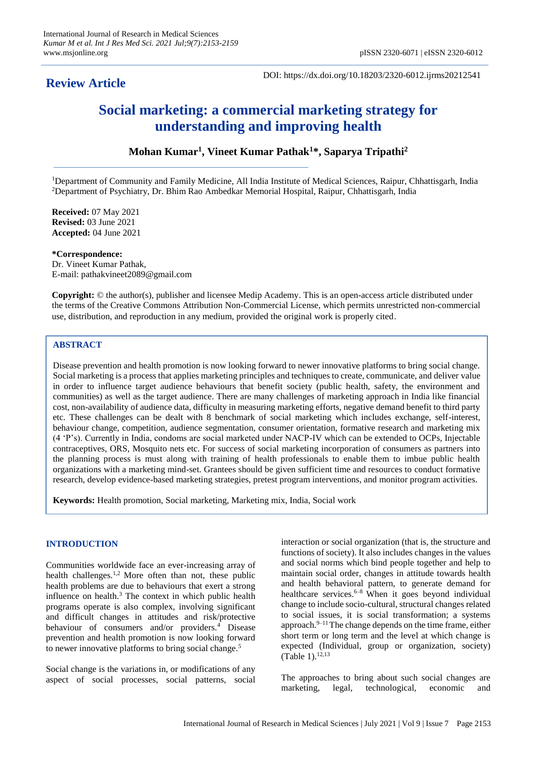# **Review Article**

DOI: https://dx.doi.org/10.18203/2320-6012.ijrms20212541

# **Social marketing: a commercial marketing strategy for understanding and improving health**

## **Mohan Kumar<sup>1</sup> , Vineet Kumar Pathak<sup>1</sup>\*, Saparya Tripathi<sup>2</sup>**

<sup>1</sup>Department of Community and Family Medicine, All India Institute of Medical Sciences, Raipur, Chhattisgarh, India <sup>2</sup>Department of Psychiatry, Dr. Bhim Rao Ambedkar Memorial Hospital, Raipur, Chhattisgarh, India

**Received:** 07 May 2021 **Revised:** 03 June 2021 **Accepted:** 04 June 2021

**\*Correspondence:** Dr. Vineet Kumar Pathak, E-mail: pathakvineet2089@gmail.com

**Copyright:** © the author(s), publisher and licensee Medip Academy. This is an open-access article distributed under the terms of the Creative Commons Attribution Non-Commercial License, which permits unrestricted non-commercial use, distribution, and reproduction in any medium, provided the original work is properly cited.

### **ABSTRACT**

Disease prevention and health promotion is now looking forward to newer innovative platforms to bring social change. Social marketing is a process that applies marketing principles and techniques to create, communicate, and deliver value in order to influence target audience behaviours that benefit society (public health, safety, the environment and communities) as well as the target audience. There are many challenges of marketing approach in India like financial cost, non-availability of audience data, difficulty in measuring marketing efforts, negative demand benefit to third party etc. These challenges can be dealt with 8 benchmark of social marketing which includes exchange, self-interest, behaviour change, competition, audience segmentation, consumer orientation, formative research and marketing mix (4 'P's). Currently in India, condoms are social marketed under NACP-IV which can be extended to OCPs, Injectable contraceptives, ORS, Mosquito nets etc. For success of social marketing incorporation of consumers as partners into the planning process is must along with training of health professionals to enable them to imbue public health organizations with a marketing mind-set. Grantees should be given sufficient time and resources to conduct formative research, develop evidence-based marketing strategies, pretest program interventions, and monitor program activities.

**Keywords:** Health promotion, Social marketing, Marketing mix, India, Social work

### **INTRODUCTION**

Communities worldwide face an ever-increasing array of health challenges.<sup>1,2</sup> More often than not, these public health problems are due to behaviours that exert a strong influence on health.<sup>3</sup> The context in which public health programs operate is also complex, involving significant and difficult changes in attitudes and risk/protective behaviour of consumers and/or providers.<sup>4</sup> Disease prevention and health promotion is now looking forward to newer innovative platforms to bring social change.<sup>5</sup>

Social change is the variations in, or modifications of any aspect of social processes, social patterns, social interaction or social organization (that is, the structure and functions of society). It also includes changes in the values and social norms which bind people together and help to maintain social order, changes in attitude towards health and health behavioral pattern, to generate demand for healthcare services. $6-8$  When it goes beyond individual change to include socio-cultural, structural changes related to social issues, it is social transformation; a systems approach.9–11 The change depends on the time frame, either short term or long term and the level at which change is expected (Individual, group or organization, society) (Table 1). 12,13

The approaches to bring about such social changes are marketing, legal, technological, economic and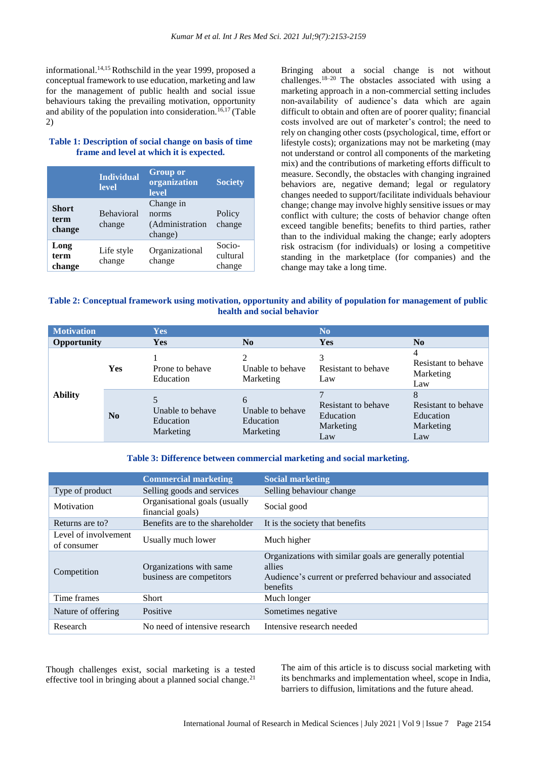informational.14,15 Rothschild in the year 1999, proposed a conceptual framework to use education, marketing and law for the management of public health and social issue behaviours taking the prevailing motivation, opportunity and ability of the population into consideration.<sup>16,17</sup> (Table 2)

### **Table 1: Description of social change on basis of time frame and level at which it is expected.**

|                                | <b>Individual</b><br><b>level</b> | <b>Group or</b><br>organization<br>level         | <b>Society</b>               |
|--------------------------------|-----------------------------------|--------------------------------------------------|------------------------------|
| <b>Short</b><br>term<br>change | <b>Behavioral</b><br>change       | Change in<br>norms<br>(Administration<br>change) | Policy<br>change             |
| Long<br>term<br>change         | Life style<br>change              | Organizational<br>change                         | Socio-<br>cultural<br>change |

Bringing about a social change is not without challenges.18–20 The obstacles associated with using a marketing approach in a non-commercial setting includes non-availability of audience's data which are again difficult to obtain and often are of poorer quality; financial costs involved are out of marketer's control; the need to rely on changing other costs (psychological, time, effort or lifestyle costs); organizations may not be marketing (may not understand or control all components of the marketing mix) and the contributions of marketing efforts difficult to measure. Secondly, the obstacles with changing ingrained behaviors are, negative demand; legal or regulatory changes needed to support/facilitate individuals behaviour change; change may involve highly sensitive issues or may conflict with culture; the costs of behavior change often exceed tangible benefits; benefits to third parties, rather than to the individual making the change; early adopters risk ostracism (for individuals) or losing a competitive standing in the marketplace (for companies) and the change may take a long time.

### **Table 2: Conceptual framework using motivation, opportunity and ability of population for management of public health and social behavior**

| <b>Motivation</b> |            | Yes                                        |                                                 | N <sub>0</sub>                                       |                                                           |
|-------------------|------------|--------------------------------------------|-------------------------------------------------|------------------------------------------------------|-----------------------------------------------------------|
| Opportunity       |            | Yes                                        | N <sub>0</sub>                                  | Yes                                                  | N <sub>0</sub>                                            |
| <b>Ability</b>    | <b>Yes</b> | Prone to behave<br>Education               | 2<br>Unable to behave<br>Marketing              | 3<br>Resistant to behave<br>Law                      | 4<br>Resistant to behave<br>Marketing<br>Law              |
|                   | No         | Unable to behave<br>Education<br>Marketing | 6<br>Unable to behave<br>Education<br>Marketing | Resistant to behave<br>Education<br>Marketing<br>Law | 8<br>Resistant to behave<br>Education<br>Marketing<br>Law |

### **Table 3: Difference between commercial marketing and social marketing.**

|                                     | <b>Commercial marketing</b>                         | <b>Social marketing</b>                                                                                                                    |
|-------------------------------------|-----------------------------------------------------|--------------------------------------------------------------------------------------------------------------------------------------------|
| Type of product                     | Selling goods and services                          | Selling behaviour change                                                                                                                   |
| Motivation                          | Organisational goals (usually<br>financial goals)   | Social good                                                                                                                                |
| Returns are to?                     | Benefits are to the shareholder                     | It is the society that benefits                                                                                                            |
| Level of involvement<br>of consumer | Usually much lower                                  | Much higher                                                                                                                                |
| Competition                         | Organizations with same<br>business are competitors | Organizations with similar goals are generally potential<br>allies<br>Audience's current or preferred behaviour and associated<br>benefits |
| Time frames                         | <b>Short</b>                                        | Much longer                                                                                                                                |
| Nature of offering                  | Positive                                            | Sometimes negative                                                                                                                         |
| Research                            | No need of intensive research                       | Intensive research needed                                                                                                                  |

Though challenges exist, social marketing is a tested effective tool in bringing about a planned social change. $21$ 

The aim of this article is to discuss social marketing with its benchmarks and implementation wheel, scope in India, barriers to diffusion, limitations and the future ahead.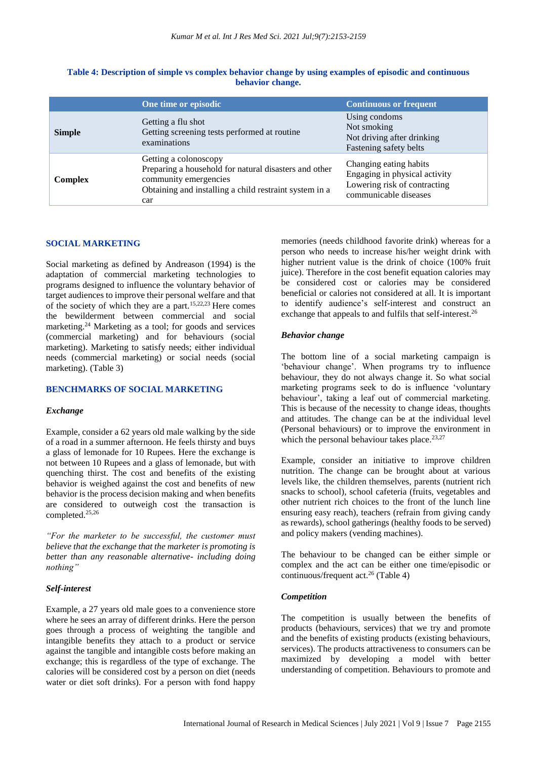|                | One time or episodic                                                                                                                                                     | <b>Continuous or frequent</b>                                                                                    |
|----------------|--------------------------------------------------------------------------------------------------------------------------------------------------------------------------|------------------------------------------------------------------------------------------------------------------|
| <b>Simple</b>  | Getting a flu shot<br>Getting screening tests performed at routine<br>examinations                                                                                       | Using condoms<br>Not smoking<br>Not driving after drinking<br>Fastening safety belts                             |
| <b>Complex</b> | Getting a colonoscopy<br>Preparing a household for natural disasters and other<br>community emergencies<br>Obtaining and installing a child restraint system in a<br>car | Changing eating habits<br>Engaging in physical activity<br>Lowering risk of contracting<br>communicable diseases |

### **Table 4: Description of simple vs complex behavior change by using examples of episodic and continuous behavior change.**

### **SOCIAL MARKETING**

Social marketing as defined by Andreason (1994) is the adaptation of commercial marketing technologies to programs designed to influence the voluntary behavior of target audiences to improve their personal welfare and that of the society of which they are a part.15,22,23 Here comes the bewilderment between commercial and social marketing.<sup>24</sup> Marketing as a tool; for goods and services (commercial marketing) and for behaviours (social marketing). Marketing to satisfy needs; either individual needs (commercial marketing) or social needs (social marketing). (Table 3)

### **BENCHMARKS OF SOCIAL MARKETING**

#### *Exchange*

Example, consider a 62 years old male walking by the side of a road in a summer afternoon. He feels thirsty and buys a glass of lemonade for 10 Rupees. Here the exchange is not between 10 Rupees and a glass of lemonade, but with quenching thirst. The cost and benefits of the existing behavior is weighed against the cost and benefits of new behavior is the process decision making and when benefits are considered to outweigh cost the transaction is completed.25,26

*"For the marketer to be successful, the customer must believe that the exchange that the marketer is promoting is better than any reasonable alternative- including doing nothing"*

### *Self-interest*

Example, a 27 years old male goes to a convenience store where he sees an array of different drinks. Here the person goes through a process of weighting the tangible and intangible benefits they attach to a product or service against the tangible and intangible costs before making an exchange; this is regardless of the type of exchange. The calories will be considered cost by a person on diet (needs water or diet soft drinks). For a person with fond happy

memories (needs childhood favorite drink) whereas for a person who needs to increase his/her weight drink with higher nutrient value is the drink of choice (100% fruit juice). Therefore in the cost benefit equation calories may be considered cost or calories may be considered beneficial or calories not considered at all. It is important to identify audience's self-interest and construct an exchange that appeals to and fulfils that self-interest.<sup>26</sup>

#### *Behavior change*

The bottom line of a social marketing campaign is 'behaviour change'. When programs try to influence behaviour, they do not always change it. So what social marketing programs seek to do is influence 'voluntary behaviour', taking a leaf out of commercial marketing. This is because of the necessity to change ideas, thoughts and attitudes. The change can be at the individual level (Personal behaviours) or to improve the environment in which the personal behaviour takes place. $23,27$ 

Example, consider an initiative to improve children nutrition. The change can be brought about at various levels like, the children themselves, parents (nutrient rich snacks to school), school cafeteria (fruits, vegetables and other nutrient rich choices to the front of the lunch line ensuring easy reach), teachers (refrain from giving candy as rewards), school gatherings (healthy foods to be served) and policy makers (vending machines).

The behaviour to be changed can be either simple or complex and the act can be either one time/episodic or continuous/frequent act. $26$  (Table 4)

### *Competition*

The competition is usually between the benefits of products (behaviours, services) that we try and promote and the benefits of existing products (existing behaviours, services). The products attractiveness to consumers can be maximized by developing a model with better understanding of competition. Behaviours to promote and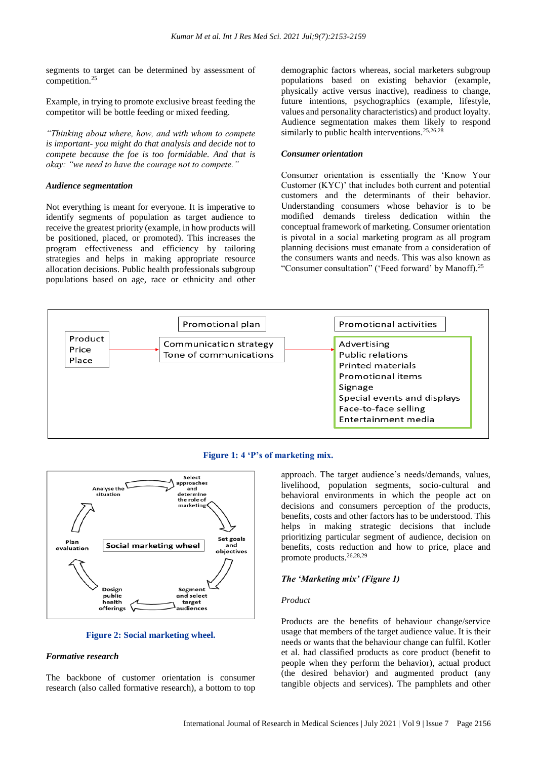segments to target can be determined by assessment of competition.<sup>25</sup>

Example, in trying to promote exclusive breast feeding the competitor will be bottle feeding or mixed feeding.

*"Thinking about where, how, and with whom to compete is important- you might do that analysis and decide not to compete because the foe is too formidable. And that is okay: "we need to have the courage not to compete."*

### *Audience segmentation*

Not everything is meant for everyone. It is imperative to identify segments of population as target audience to receive the greatest priority (example, in how products will be positioned, placed, or promoted). This increases the program effectiveness and efficiency by tailoring strategies and helps in making appropriate resource allocation decisions. Public health professionals subgroup populations based on age, race or ethnicity and other demographic factors whereas, social marketers subgroup populations based on existing behavior (example, physically active versus inactive), readiness to change, future intentions, psychographics (example, lifestyle, values and personality characteristics) and product loyalty. Audience segmentation makes them likely to respond similarly to public health interventions.<sup>25,26,28</sup>

#### *Consumer orientation*

Consumer orientation is essentially the 'Know Your Customer (KYC)' that includes both current and potential customers and the determinants of their behavior. Understanding consumers whose behavior is to be modified demands tireless dedication within the conceptual framework of marketing. Consumer orientation is pivotal in a social marketing program as all program planning decisions must emanate from a consideration of the consumers wants and needs. This was also known as "Consumer consultation" ('Feed forward' by Manoff).<sup>25</sup>







#### **Figure 2: Social marketing wheel.**

### *Formative research*

The backbone of customer orientation is consumer research (also called formative research), a bottom to top approach. The target audience's needs/demands, values, livelihood, population segments, socio-cultural and behavioral environments in which the people act on decisions and consumers perception of the products, benefits, costs and other factors has to be understood. This helps in making strategic decisions that include prioritizing particular segment of audience, decision on benefits, costs reduction and how to price, place and promote products.26,28,29

#### *The 'Marketing mix' (Figure 1)*

#### *Product*

Products are the benefits of behaviour change/service usage that members of the target audience value. It is their needs or wants that the behaviour change can fulfil. Kotler et al. had classified products as core product (benefit to people when they perform the behavior), actual product (the desired behavior) and augmented product (any tangible objects and services). The pamphlets and other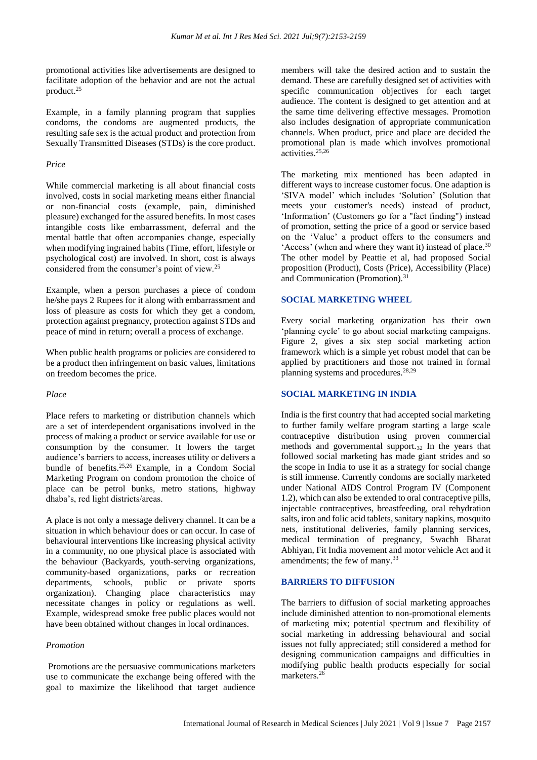promotional activities like advertisements are designed to facilitate adoption of the behavior and are not the actual product.<sup>25</sup>

Example, in a family planning program that supplies condoms, the condoms are augmented products, the resulting safe sex is the actual product and protection from Sexually Transmitted Diseases (STDs) is the core product.

### *Price*

While commercial marketing is all about financial costs involved, costs in social marketing means either financial or non-financial costs (example, pain, diminished pleasure) exchanged for the assured benefits. In most cases intangible costs like embarrassment, deferral and the mental battle that often accompanies change, especially when modifying ingrained habits (Time, effort, lifestyle or psychological cost) are involved. In short, cost is always considered from the consumer's point of view.<sup>25</sup>

Example, when a person purchases a piece of condom he/she pays 2 Rupees for it along with embarrassment and loss of pleasure as costs for which they get a condom, protection against pregnancy, protection against STDs and peace of mind in return; overall a process of exchange.

When public health programs or policies are considered to be a product then infringement on basic values, limitations on freedom becomes the price.

### *Place*

Place refers to marketing or distribution channels which are a set of interdependent organisations involved in the process of making a product or service available for use or consumption by the consumer. It lowers the target audience's barriers to access, increases utility or delivers a bundle of benefits.25,26 Example, in a Condom Social Marketing Program on condom promotion the choice of place can be petrol bunks, metro stations, highway dhaba's, red light districts/areas.

A place is not only a message delivery channel. It can be a situation in which behaviour does or can occur. In case of behavioural interventions like increasing physical activity in a community, no one physical place is associated with the behaviour (Backyards, youth-serving organizations, community-based organizations, parks or recreation departments, schools, public or private sports organization). Changing place characteristics may necessitate changes in policy or regulations as well. Example, widespread smoke free public places would not have been obtained without changes in local ordinances.

### *Promotion*

Promotions are the persuasive communications marketers use to communicate the exchange being offered with the goal to maximize the likelihood that target audience members will take the desired action and to sustain the demand. These are carefully designed set of activities with specific communication objectives for each target audience. The content is designed to get attention and at the same time delivering effective messages. Promotion also includes designation of appropriate communication channels. When product, price and place are decided the promotional plan is made which involves promotional activities.<sup>25,26</sup>

The marketing mix mentioned has been adapted in different ways to increase customer focus. One adaption is 'SIVA model' which includes 'Solution' (Solution that meets your customer's needs) instead of product, 'Information' (Customers go for a "fact finding") instead of promotion, setting the price of a good or service based on the 'Value' a product offers to the consumers and 'Access' (when and where they want it) instead of place.<sup>30</sup> The other model by Peattie et al, had proposed Social proposition (Product), Costs (Price), Accessibility (Place) and Communication (Promotion).<sup>31</sup>

### **SOCIAL MARKETING WHEEL**

Every social marketing organization has their own 'planning cycle' to go about social marketing campaigns. Figure 2, gives a six step social marketing action framework which is a simple yet robust model that can be applied by practitioners and those not trained in formal planning systems and procedures.28,29

### **SOCIAL MARKETING IN INDIA**

India is the first country that had accepted social marketing to further family welfare program starting a large scale contraceptive distribution using proven commercial methods and governmental support.<sup>32</sup> In the years that followed social marketing has made giant strides and so the scope in India to use it as a strategy for social change is still immense. Currently condoms are socially marketed under National AIDS Control Program IV (Component 1.2), which can also be extended to oral contraceptive pills, injectable contraceptives, breastfeeding, oral rehydration salts, iron and folic acid tablets, sanitary napkins, mosquito nets, institutional deliveries, family planning services, medical termination of pregnancy, Swachh Bharat Abhiyan, Fit India movement and motor vehicle Act and it amendments; the few of many.<sup>33</sup>

### **BARRIERS TO DIFFUSION**

The barriers to diffusion of social marketing approaches include diminished attention to non-promotional elements of marketing mix; potential spectrum and flexibility of social marketing in addressing behavioural and social issues not fully appreciated; still considered a method for designing communication campaigns and difficulties in modifying public health products especially for social marketers.<sup>26</sup>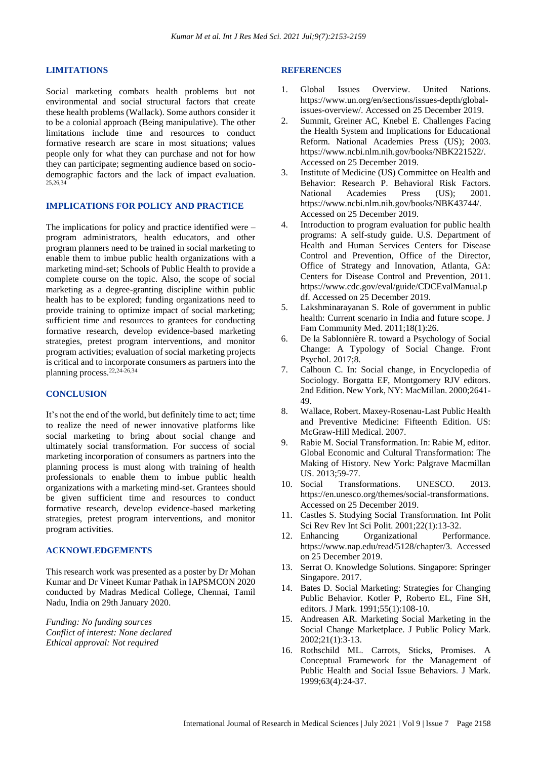#### **LIMITATIONS**

Social marketing combats health problems but not environmental and social structural factors that create these health problems (Wallack). Some authors consider it to be a colonial approach (Being manipulative). The other limitations include time and resources to conduct formative research are scare in most situations; values people only for what they can purchase and not for how they can participate; segmenting audience based on sociodemographic factors and the lack of impact evaluation. 25,26,34

### **IMPLICATIONS FOR POLICY AND PRACTICE**

The implications for policy and practice identified were – program administrators, health educators, and other program planners need to be trained in social marketing to enable them to imbue public health organizations with a marketing mind-set; Schools of Public Health to provide a complete course on the topic. Also, the scope of social marketing as a degree-granting discipline within public health has to be explored; funding organizations need to provide training to optimize impact of social marketing; sufficient time and resources to grantees for conducting formative research, develop evidence-based marketing strategies, pretest program interventions, and monitor program activities; evaluation of social marketing projects is critical and to incorporate consumers as partners into the planning process.22,24-26,34

### **CONCLUSION**

It's not the end of the world, but definitely time to act; time to realize the need of newer innovative platforms like social marketing to bring about social change and ultimately social transformation. For success of social marketing incorporation of consumers as partners into the planning process is must along with training of health professionals to enable them to imbue public health organizations with a marketing mind-set. Grantees should be given sufficient time and resources to conduct formative research, develop evidence-based marketing strategies, pretest program interventions, and monitor program activities.

### **ACKNOWLEDGEMENTS**

This research work was presented as a poster by Dr Mohan Kumar and Dr Vineet Kumar Pathak in IAPSMCON 2020 conducted by Madras Medical College, Chennai, Tamil Nadu, India on 29th January 2020.

*Funding: No funding sources Conflict of interest: None declared Ethical approval: Not required*

#### **REFERENCES**

- 1. Global Issues Overview. United Nations. https://www.un.org/en/sections/issues-depth/globalissues-overview/. Accessed on 25 December 2019.
- 2. Summit, Greiner AC, Knebel E. Challenges Facing the Health System and Implications for Educational Reform. National Academies Press (US); 2003. https://www.ncbi.nlm.nih.gov/books/NBK221522/. Accessed on 25 December 2019.
- 3. Institute of Medicine (US) Committee on Health and Behavior: Research P. Behavioral Risk Factors.<br>National Academies Press (US); 2001. National Academies Press (US); 2001. https://www.ncbi.nlm.nih.gov/books/NBK43744/. Accessed on 25 December 2019.
- 4. Introduction to program evaluation for public health programs: A self-study guide. U.S. Department of Health and Human Services Centers for Disease Control and Prevention, Office of the Director, Office of Strategy and Innovation, Atlanta, GA: Centers for Disease Control and Prevention, 2011. https://www.cdc.gov/eval/guide/CDCEvalManual.p df. Accessed on 25 December 2019.
- 5. Lakshminarayanan S. Role of government in public health: Current scenario in India and future scope. J Fam Community Med. 2011;18(1):26.
- 6. De la Sablonnière R. toward a Psychology of Social Change: A Typology of Social Change. Front Psychol. 2017;8.
- 7. Calhoun C. In: Social change, in Encyclopedia of Sociology. Borgatta EF, Montgomery RJV editors. 2nd Edition. New York, NY: MacMillan. 2000;2641- 49.
- 8. Wallace, Robert. Maxey-Rosenau-Last Public Health and Preventive Medicine: Fifteenth Edition. US: McGraw-Hill Medical. 2007.
- 9. Rabie M. Social Transformation. In: Rabie M, editor. Global Economic and Cultural Transformation: The Making of History. New York: Palgrave Macmillan US. 2013;59-77.
- 10. Social Transformations. UNESCO. 2013. https://en.unesco.org/themes/social-transformations. Accessed on 25 December 2019.
- 11. Castles S. Studying Social Transformation. Int Polit Sci Rev Rev Int Sci Polit. 2001;22(1):13-32.
- 12. Enhancing Organizational Performance. https://www.nap.edu/read/5128/chapter/3. Accessed on 25 December 2019.
- 13. Serrat O. Knowledge Solutions. Singapore: Springer Singapore. 2017.
- 14. Bates D. Social Marketing: Strategies for Changing Public Behavior. Kotler P, Roberto EL, Fine SH, editors. J Mark. 1991;55(1):108-10.
- 15. Andreasen AR. Marketing Social Marketing in the Social Change Marketplace. J Public Policy Mark. 2002;21(1):3-13.
- 16. Rothschild ML. Carrots, Sticks, Promises. A Conceptual Framework for the Management of Public Health and Social Issue Behaviors. J Mark. 1999;63(4):24-37.